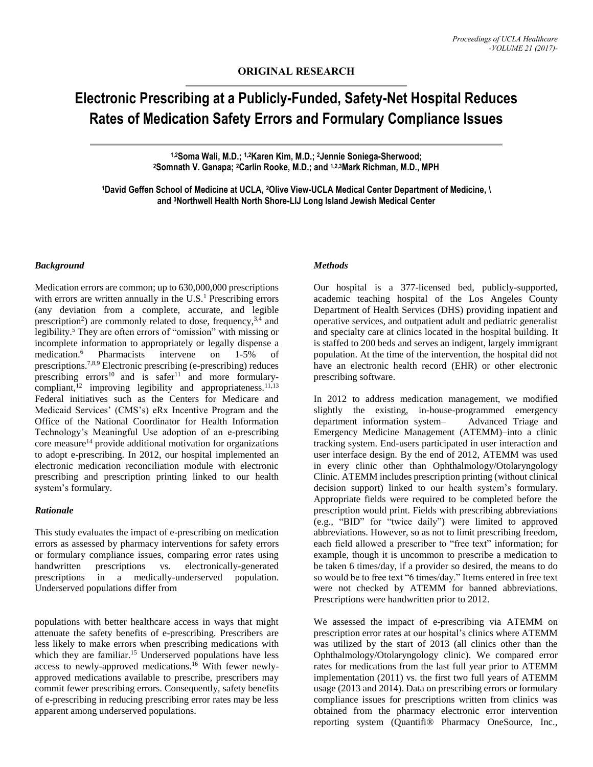# **Electronic Prescribing at a Publicly-Funded, Safety-Net Hospital Reduces Rates of Medication Safety Errors and Formulary Compliance Issues**

**1,2Soma Wali, M.D.; 1,2Karen Kim, M.D.; <sup>2</sup>Jennie Soniega-Sherwood; <sup>2</sup>Somnath V. Ganapa; 2Carlin Rooke, M.D.; and 1,2,3Mark Richman, M.D., MPH**

**<sup>1</sup>David Geffen School of Medicine at UCLA, 2Olive View-UCLA Medical Center Department of Medicine, \ and 3Northwell Health North Shore-LIJ Long Island Jewish Medical Center**

#### *Background*

Medication errors are common; up to 630,000,000 prescriptions with errors are written annually in the  $U.S.<sup>1</sup>$  Prescribing errors (any deviation from a complete, accurate, and legible prescription<sup>2</sup>) are commonly related to dose, frequency,<sup>3,4</sup> and legibility. <sup>5</sup> They are often errors of "omission" with missing or incomplete information to appropriately or legally dispense a medication.<sup>6</sup> Pharmacists intervene on 1-5% of prescriptions.7,8,9 Electronic prescribing (e-prescribing) reduces prescribing errors<sup>10</sup> and is safer<sup>11</sup> and more formularycompliant, $12$  improving legibility and appropriateness. $11,13$ Federal initiatives such as the Centers for Medicare and Medicaid Services' (CMS's) eRx Incentive Program and the Office of the National Coordinator for Health Information Technology's Meaningful Use adoption of an e-prescribing core measure<sup>14</sup> provide additional motivation for organizations to adopt e-prescribing. In 2012, our hospital implemented an electronic medication reconciliation module with electronic prescribing and prescription printing linked to our health system's formulary.

#### *Rationale*

This study evaluates the impact of e-prescribing on medication errors as assessed by pharmacy interventions for safety errors or formulary compliance issues, comparing error rates using handwritten prescriptions vs. electronically-generated prescriptions in a medically-underserved population. Underserved populations differ from

populations with better healthcare access in ways that might attenuate the safety benefits of e-prescribing. Prescribers are less likely to make errors when prescribing medications with which they are familiar.<sup>15</sup> Underserved populations have less access to newly-approved medications.<sup>16</sup> With fewer newlyapproved medications available to prescribe, prescribers may commit fewer prescribing errors. Consequently, safety benefits of e-prescribing in reducing prescribing error rates may be less apparent among underserved populations.

#### *Methods*

Our hospital is a 377-licensed bed, publicly-supported, academic teaching hospital of the Los Angeles County Department of Health Services (DHS) providing inpatient and operative services, and outpatient adult and pediatric generalist and specialty care at clinics located in the hospital building. It is staffed to 200 beds and serves an indigent, largely immigrant population. At the time of the intervention, the hospital did not have an electronic health record (EHR) or other electronic prescribing software.

In 2012 to address medication management, we modified slightly the existing, in-house-programmed emergency department information system– Advanced Triage and Emergency Medicine Management (ATEMM)–into a clinic tracking system. End-users participated in user interaction and user interface design. By the end of 2012, ATEMM was used in every clinic other than Ophthalmology/Otolaryngology Clinic. ATEMM includes prescription printing (without clinical decision support) linked to our health system's formulary. Appropriate fields were required to be completed before the prescription would print. Fields with prescribing abbreviations (e.g., "BID" for "twice daily") were limited to approved abbreviations. However, so as not to limit prescribing freedom, each field allowed a prescriber to "free text" information; for example, though it is uncommon to prescribe a medication to be taken 6 times/day, if a provider so desired, the means to do so would be to free text "6 times/day." Items entered in free text were not checked by ATEMM for banned abbreviations. Prescriptions were handwritten prior to 2012.

We assessed the impact of e-prescribing via ATEMM on prescription error rates at our hospital's clinics where ATEMM was utilized by the start of 2013 (all clinics other than the Ophthalmology/Otolaryngology clinic). We compared error rates for medications from the last full year prior to ATEMM implementation (2011) vs. the first two full years of ATEMM usage (2013 and 2014). Data on prescribing errors or formulary compliance issues for prescriptions written from clinics was obtained from the pharmacy electronic error intervention reporting system (Quantifi® Pharmacy OneSource, Inc.,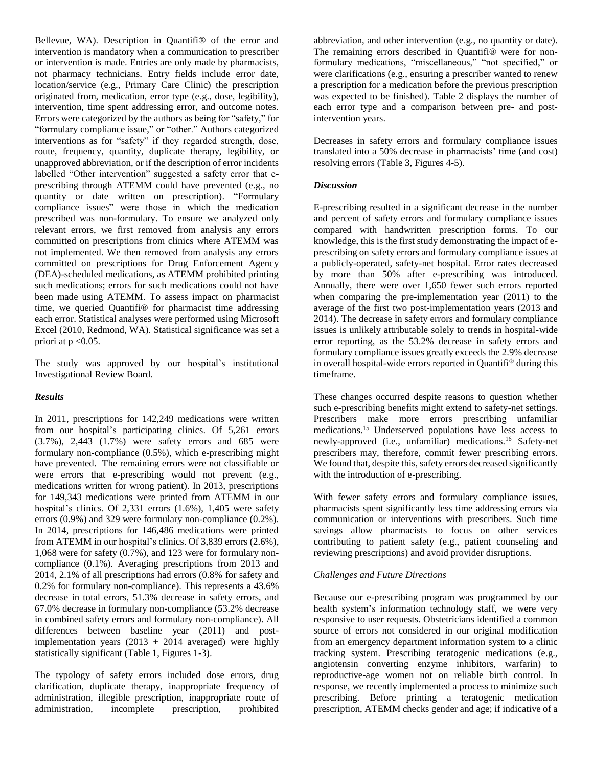Bellevue, WA). Description in Quantifi<sup>®</sup> of the error and intervention is mandatory when a communication to prescriber or intervention is made. Entries are only made by pharmacists, not pharmacy technicians. Entry fields include error date, location/service (e.g., Primary Care Clinic) the prescription originated from, medication, error type (e.g., dose, legibility), intervention, time spent addressing error, and outcome notes. Errors were categorized by the authors as being for "safety," for "formulary compliance issue," or "other." Authors categorized interventions as for "safety" if they regarded strength, dose, route, frequency, quantity, duplicate therapy, legibility, or unapproved abbreviation, or if the description of error incidents labelled "Other intervention" suggested a safety error that eprescribing through ATEMM could have prevented (e.g., no quantity or date written on prescription). "Formulary compliance issues" were those in which the medication prescribed was non-formulary. To ensure we analyzed only relevant errors, we first removed from analysis any errors committed on prescriptions from clinics where ATEMM was not implemented. We then removed from analysis any errors committed on prescriptions for Drug Enforcement Agency (DEA)-scheduled medications, as ATEMM prohibited printing such medications; errors for such medications could not have been made using ATEMM. To assess impact on pharmacist time, we queried Quantifi® for pharmacist time addressing each error. Statistical analyses were performed using Microsoft Excel (2010, Redmond, WA). Statistical significance was set a priori at p <0.05.

The study was approved by our hospital's institutional Investigational Review Board.

# *Results*

In 2011, prescriptions for 142,249 medications were written from our hospital's participating clinics. Of 5,261 errors (3.7%), 2,443 (1.7%) were safety errors and 685 were formulary non-compliance (0.5%), which e-prescribing might have prevented. The remaining errors were not classifiable or were errors that e-prescribing would not prevent (e.g., medications written for wrong patient). In 2013, prescriptions for 149,343 medications were printed from ATEMM in our hospital's clinics. Of 2,331 errors (1.6%), 1,405 were safety errors (0.9%) and 329 were formulary non-compliance (0.2%). In 2014, prescriptions for 146,486 medications were printed from ATEMM in our hospital's clinics. Of 3,839 errors (2.6%), 1,068 were for safety (0.7%), and 123 were for formulary noncompliance (0.1%). Averaging prescriptions from 2013 and 2014, 2.1% of all prescriptions had errors (0.8% for safety and 0.2% for formulary non-compliance). This represents a 43.6% decrease in total errors, 51.3% decrease in safety errors, and 67.0% decrease in formulary non-compliance (53.2% decrease in combined safety errors and formulary non-compliance). All differences between baseline year (2011) and postimplementation years  $(2013 + 2014$  averaged) were highly statistically significant (Table 1, Figures 1-3).

The typology of safety errors included dose errors, drug clarification, duplicate therapy, inappropriate frequency of administration, illegible prescription, inappropriate route of administration, incomplete prescription, prohibited

abbreviation, and other intervention (e.g., no quantity or date). The remaining errors described in Quantifi<sup>®</sup> were for nonformulary medications, "miscellaneous," "not specified," or were clarifications (e.g., ensuring a prescriber wanted to renew a prescription for a medication before the previous prescription was expected to be finished). Table 2 displays the number of each error type and a comparison between pre- and postintervention years.

Decreases in safety errors and formulary compliance issues translated into a 50% decrease in pharmacists' time (and cost) resolving errors (Table 3, Figures 4-5).

### *Discussion*

E-prescribing resulted in a significant decrease in the number and percent of safety errors and formulary compliance issues compared with handwritten prescription forms. To our knowledge, this is the first study demonstrating the impact of eprescribing on safety errors and formulary compliance issues at a publicly-operated, safety-net hospital. Error rates decreased by more than 50% after e-prescribing was introduced. Annually, there were over 1,650 fewer such errors reported when comparing the pre-implementation year (2011) to the average of the first two post-implementation years (2013 and 2014). The decrease in safety errors and formulary compliance issues is unlikely attributable solely to trends in hospital-wide error reporting, as the 53.2% decrease in safety errors and formulary compliance issues greatly exceeds the 2.9% decrease in overall hospital-wide errors reported in Quantifi® during this timeframe.

These changes occurred despite reasons to question whether such e-prescribing benefits might extend to safety-net settings. Prescribers make more errors prescribing unfamiliar medications.<sup>15</sup> Underserved populations have less access to newly-approved (i.e., unfamiliar) medications.<sup>16</sup> Safety-net prescribers may, therefore, commit fewer prescribing errors. We found that, despite this, safety errors decreased significantly with the introduction of e-prescribing.

With fewer safety errors and formulary compliance issues, pharmacists spent significantly less time addressing errors via communication or interventions with prescribers. Such time savings allow pharmacists to focus on other services contributing to patient safety (e.g., patient counseling and reviewing prescriptions) and avoid provider disruptions.

# *Challenges and Future Directions*

Because our e-prescribing program was programmed by our health system's information technology staff, we were very responsive to user requests. Obstetricians identified a common source of errors not considered in our original modification from an emergency department information system to a clinic tracking system. Prescribing teratogenic medications (e.g., angiotensin converting enzyme inhibitors, warfarin) to reproductive-age women not on reliable birth control. In response, we recently implemented a process to minimize such prescribing. Before printing a teratogenic medication prescription, ATEMM checks gender and age; if indicative of a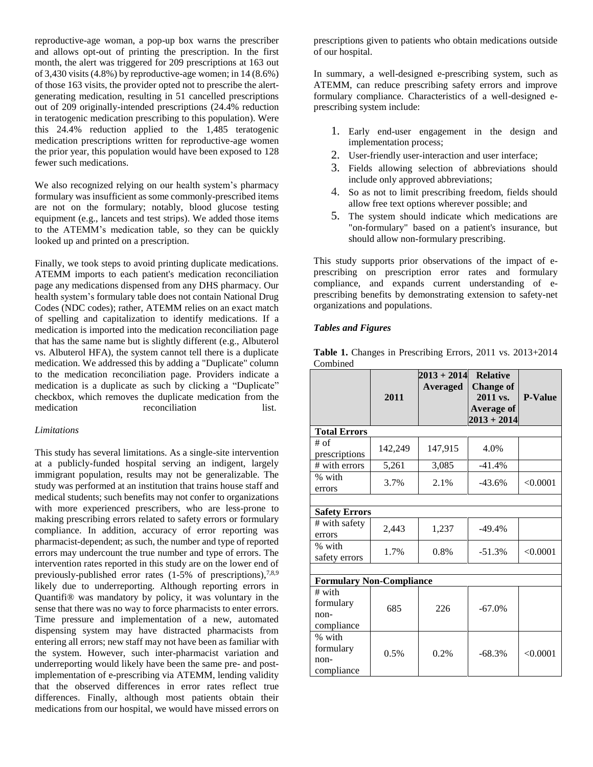reproductive-age woman, a pop-up box warns the prescriber and allows opt-out of printing the prescription. In the first month, the alert was triggered for 209 prescriptions at 163 out of 3,430 visits  $(4.8\%)$  by reproductive-age women; in 14  $(8.6\%)$ of those 163 visits, the provider opted not to prescribe the alertgenerating medication, resulting in 51 cancelled prescriptions out of 209 originally-intended prescriptions (24.4% reduction in teratogenic medication prescribing to this population). Were this 24.4% reduction applied to the 1,485 teratogenic medication prescriptions written for reproductive-age women the prior year, this population would have been exposed to 128 fewer such medications.

We also recognized relying on our health system's pharmacy formulary was insufficient as some commonly-prescribed items are not on the formulary; notably, blood glucose testing equipment (e.g., lancets and test strips). We added those items to the ATEMM's medication table, so they can be quickly looked up and printed on a prescription.

Finally, we took steps to avoid printing duplicate medications. ATEMM imports to each patient's medication reconciliation page any medications dispensed from any DHS pharmacy. Our health system's formulary table does not contain National Drug Codes (NDC codes); rather, ATEMM relies on an exact match of spelling and capitalization to identify medications. If a medication is imported into the medication reconciliation page that has the same name but is slightly different (e.g., Albuterol vs. Albuterol HFA), the system cannot tell there is a duplicate medication. We addressed this by adding a "Duplicate" column to the medication reconciliation page. Providers indicate a medication is a duplicate as such by clicking a "Duplicate" checkbox, which removes the duplicate medication from the medication reconciliation list.

## *Limitations*

This study has several limitations. As a single-site intervention at a publicly-funded hospital serving an indigent, largely immigrant population, results may not be generalizable. The study was performed at an institution that trains house staff and medical students; such benefits may not confer to organizations with more experienced prescribers, who are less-prone to making prescribing errors related to safety errors or formulary compliance. In addition, accuracy of error reporting was pharmacist-dependent; as such, the number and type of reported errors may undercount the true number and type of errors. The intervention rates reported in this study are on the lower end of previously-published error rates  $(1-5\%$  of prescriptions),<sup>7,8,9</sup> likely due to underreporting. Although reporting errors in Quantifi® was mandatory by policy, it was voluntary in the sense that there was no way to force pharmacists to enter errors. Time pressure and implementation of a new, automated dispensing system may have distracted pharmacists from entering all errors; new staff may not have been as familiar with the system. However, such inter-pharmacist variation and underreporting would likely have been the same pre- and postimplementation of e-prescribing via ATEMM, lending validity that the observed differences in error rates reflect true differences. Finally, although most patients obtain their medications from our hospital, we would have missed errors on

prescriptions given to patients who obtain medications outside of our hospital.

In summary, a well-designed e-prescribing system, such as ATEMM, can reduce prescribing safety errors and improve formulary compliance. Characteristics of a well-designed eprescribing system include:

- 1. Early end-user engagement in the design and implementation process;
- 2. User-friendly user-interaction and user interface;
- 3. Fields allowing selection of abbreviations should include only approved abbreviations;
- 4. So as not to limit prescribing freedom, fields should allow free text options wherever possible; and
- 5. The system should indicate which medications are "on-formulary" based on a patient's insurance, but should allow non-formulary prescribing.

This study supports prior observations of the impact of eprescribing on prescription error rates and formulary compliance, and expands current understanding of eprescribing benefits by demonstrating extension to safety-net organizations and populations.

## *Tables and Figures*

**Table 1.** Changes in Prescribing Errors, 2011 vs. 2013+2014 Combined

|                                 |         | $2013 + 2014$ | <b>Relative</b>  |                |  |  |  |
|---------------------------------|---------|---------------|------------------|----------------|--|--|--|
|                                 |         | Averaged      | <b>Change of</b> |                |  |  |  |
|                                 | 2011    |               | 2011 vs.         | <b>P-Value</b> |  |  |  |
|                                 |         |               | Average of       |                |  |  |  |
|                                 |         |               | $2013 + 2014$    |                |  |  |  |
| <b>Total Errors</b>             |         |               |                  |                |  |  |  |
| $#$ of                          | 142,249 | 147,915       | 4.0%             |                |  |  |  |
| prescriptions                   |         |               |                  |                |  |  |  |
| # with errors                   | 5,261   | 3,085         | $-41.4%$         |                |  |  |  |
| % with                          | 3.7%    | 2.1%          | $-43.6%$         | < 0.0001       |  |  |  |
| errors                          |         |               |                  |                |  |  |  |
|                                 |         |               |                  |                |  |  |  |
| <b>Safety Errors</b>            |         |               |                  |                |  |  |  |
| # with safety                   |         | 1,237         | $-49.4%$         |                |  |  |  |
| errors                          | 2,443   |               |                  |                |  |  |  |
| % with                          | 1.7%    | 0.8%          | $-51.3%$         | < 0.0001       |  |  |  |
| safety errors                   |         |               |                  |                |  |  |  |
|                                 |         |               |                  |                |  |  |  |
| <b>Formulary Non-Compliance</b> |         |               |                  |                |  |  |  |
| $#$ with                        |         |               |                  |                |  |  |  |
| formulary                       | 685     | 226           | $-67.0%$         |                |  |  |  |
| $non-$                          |         |               |                  |                |  |  |  |
| compliance                      |         |               |                  |                |  |  |  |
| % with                          |         |               |                  |                |  |  |  |
| formulary                       | 0.5%    |               | $-68.3%$         | < 0.0001       |  |  |  |
| $non-$                          |         | 0.2%          |                  |                |  |  |  |
| compliance                      |         |               |                  |                |  |  |  |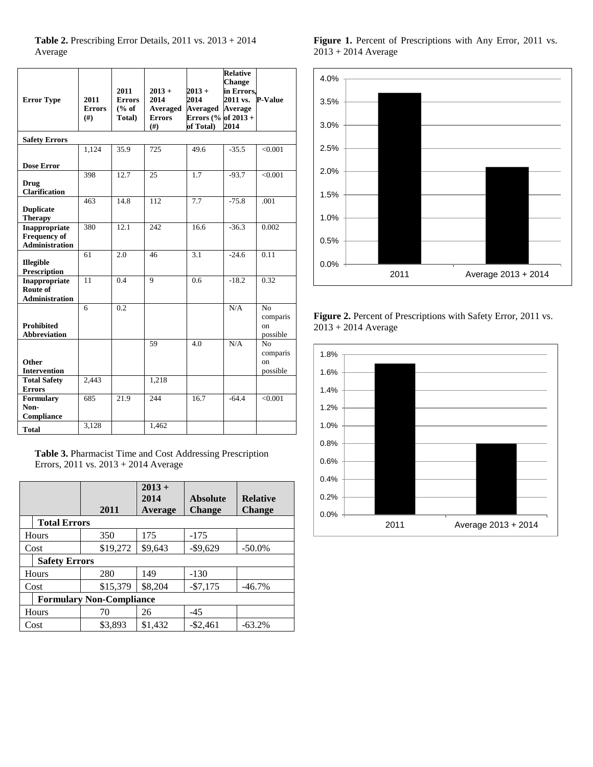**Table 2.** Prescribing Error Details, 2011 vs. 2013 + 2014 Average

| <b>Error Type</b>                                             | 2011                  | 2011<br><b>Errors</b> | $2013 +$<br>2014                 | $2013 +$<br>2014                                      | <b>Relative</b><br><b>Change</b><br>in Errors,<br>2011 vs. | P-Value                                      |
|---------------------------------------------------------------|-----------------------|-----------------------|----------------------------------|-------------------------------------------------------|------------------------------------------------------------|----------------------------------------------|
|                                                               | <b>Errors</b><br>(f#) | % of<br>Total)        | Averaged<br><b>Errors</b><br>(#) | <b>Averaged</b><br>Errors (% of $2013 +$<br>of Total) | <b>Average</b><br>2014                                     |                                              |
| <b>Safety Errors</b>                                          |                       |                       |                                  |                                                       |                                                            |                                              |
|                                                               | 1,124                 | 35.9                  | 725                              | 49.6                                                  | $-35.5$                                                    | < 0.001                                      |
| <b>Dose Error</b>                                             |                       |                       |                                  |                                                       |                                                            |                                              |
| <b>Drug</b><br><b>Clarification</b>                           | 398                   | 12.7                  | 25                               | 1.7                                                   | $-93.7$                                                    | < 0.001                                      |
| <b>Duplicate</b><br><b>Therapy</b>                            | 463                   | 14.8                  | 112                              | 7.7                                                   | $-75.8$                                                    | .001                                         |
| Inappropriate<br><b>Frequency of</b><br><b>Administration</b> | 380                   | 12.1                  | 242                              | 16.6                                                  | $-36.3$                                                    | 0.002                                        |
| <b>Illegible</b><br>Prescription                              | 61                    | 2.0                   | 46                               | 3.1                                                   | $-24.6$                                                    | 0.11                                         |
| Inappropriate<br>Route of<br><b>Administration</b>            | 11                    | 0.4                   | 9                                | 0.6                                                   | $-18.2$                                                    | 0.32                                         |
| <b>Prohibited</b><br><b>Abbreviation</b>                      | 6                     | 0.2                   |                                  |                                                       | N/A                                                        | N <sub>o</sub><br>comparis<br>on<br>possible |
| Other                                                         |                       |                       | 59                               | 4.0                                                   | N/A                                                        | No<br>comparis<br>on                         |
| <b>Intervention</b>                                           |                       |                       |                                  |                                                       |                                                            | possible                                     |
| <b>Total Safety</b><br><b>Errors</b>                          | 2,443                 |                       | 1,218                            |                                                       |                                                            |                                              |
| Formulary<br>Non-                                             | 685                   | 21.9                  | 244                              | 16.7                                                  | $-64.4$                                                    | < 0.001                                      |
| Compliance<br><b>Total</b>                                    | 3,128                 |                       | 1,462                            |                                                       |                                                            |                                              |

**Table 3.** Pharmacist Time and Cost Addressing Prescription Errors, 2011 vs. 2013 + 2014 Average

|                                 | 2011     | $2013 +$<br>2014<br>Average | <b>Absolute</b><br><b>Change</b> | <b>Relative</b><br><b>Change</b> |  |  |
|---------------------------------|----------|-----------------------------|----------------------------------|----------------------------------|--|--|
| <b>Total Errors</b>             |          |                             |                                  |                                  |  |  |
| Hours                           | 350      | 175                         | $-175$                           |                                  |  |  |
| Cost                            | \$19,272 | \$9,643                     | $-$ \$9,629                      | $-50.0\%$                        |  |  |
| <b>Safety Errors</b>            |          |                             |                                  |                                  |  |  |
| Hours                           | 280      | 149                         | $-130$                           |                                  |  |  |
| Cost                            | \$15,379 | \$8,204                     | $-$7,175$                        | $-46.7\%$                        |  |  |
| <b>Formulary Non-Compliance</b> |          |                             |                                  |                                  |  |  |
| Hours                           | 70       | 26                          | $-45$                            |                                  |  |  |
| Cost                            | \$3,893  | \$1,432                     | $-$ \$2,461                      | $-63.2%$                         |  |  |

**Figure 1.** Percent of Prescriptions with Any Error, 2011 vs. 2013 + 2014 Average



Figure 2. Percent of Prescriptions with Safety Error, 2011 vs. 2013 + 2014 Average

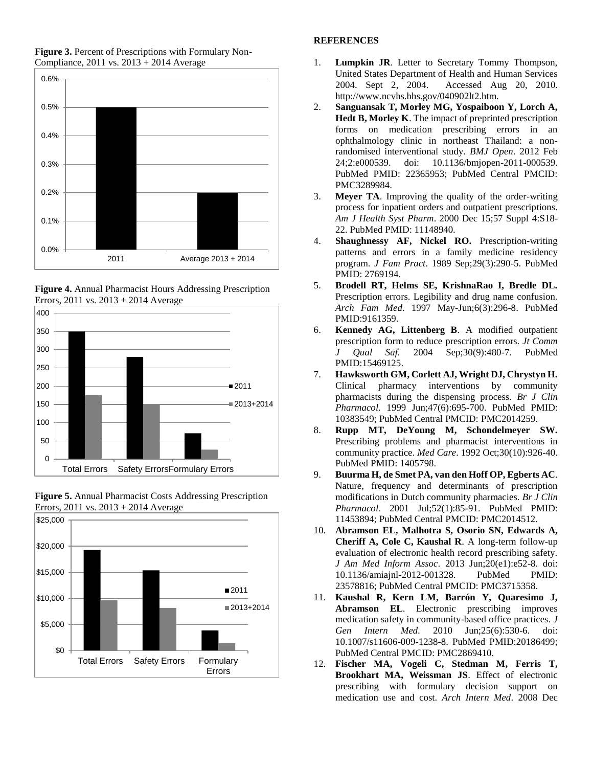

**Figure 3.** Percent of Prescriptions with Formulary Non-Compliance, 2011 vs. 2013 + 2014 Average









### **REFERENCES**

- 1. **Lumpkin JR**. Letter to Secretary Tommy Thompson, United States Department of Health and Human Services 2004. Sept 2, 2004. Accessed Aug 20, 2010. http://www.ncvhs.hhs.gov/040902lt2.htm.
- 2. **Sanguansak T, Morley MG, Yospaiboon Y, Lorch A, Hedt B, Morley K**. The impact of preprinted prescription forms on medication prescribing errors in an ophthalmology clinic in northeast Thailand: a nonrandomised interventional study. *BMJ Open*. 2012 Feb 24;2:e000539. doi: 10.1136/bmjopen-2011-000539. PubMed PMID: 22365953; PubMed Central PMCID: PMC3289984.
- 3. **Meyer TA**. Improving the quality of the order-writing process for inpatient orders and outpatient prescriptions. *Am J Health Syst Pharm*. 2000 Dec 15;57 Suppl 4:S18- 22. PubMed PMID: 11148940.
- 4. **Shaughnessy AF, Nickel RO.** Prescription-writing patterns and errors in a family medicine residency program. *J Fam Pract*. 1989 Sep;29(3):290-5. PubMed PMID: 2769194.
- 5. **Brodell RT, Helms SE, KrishnaRao I, Bredle DL.** Prescription errors. Legibility and drug name confusion. *Arch Fam Med*. 1997 May-Jun;6(3):296-8. PubMed PMID:9161359.
- 6. **Kennedy AG, Littenberg B**. A modified outpatient prescription form to reduce prescription errors. *Jt Comm J Qual Saf.* 2004 Sep;30(9):480-7. PubMed PMID:15469125.
- 7. **Hawksworth GM, Corlett AJ, Wright DJ, Chrystyn H.** Clinical pharmacy interventions by community pharmacists during the dispensing process. *Br J Clin Pharmacol.* 1999 Jun;47(6):695-700. PubMed PMID: 10383549; PubMed Central PMCID: PMC2014259.
- 8. **Rupp MT, DeYoung M, Schondelmeyer SW.** Prescribing problems and pharmacist interventions in community practice. *Med Care*. 1992 Oct;30(10):926-40. PubMed PMID: 1405798.
- 9. **Buurma H, de Smet PA, van den Hoff OP, Egberts AC**. Nature, frequency and determinants of prescription modifications in Dutch community pharmacies. *Br J Clin Pharmacol*. 2001 Jul;52(1):85-91. PubMed PMID: 11453894; PubMed Central PMCID: PMC2014512.
- 10. **Abramson EL, Malhotra S, Osorio SN, Edwards A, Cheriff A, Cole C, Kaushal R**. A long-term follow-up evaluation of electronic health record prescribing safety. *J Am Med Inform Assoc*. 2013 Jun;20(e1):e52-8. doi: 10.1136/amiajnl-2012-001328. PubMed PMID: 23578816; PubMed Central PMCID: PMC3715358.
- 11. **Kaushal R, Kern LM, Barrón Y, Quaresimo J, Abramson EL**. Electronic prescribing improves medication safety in community-based office practices. *J Gen Intern Med.* 2010 Jun;25(6):530-6. doi: 10.1007/s11606-009-1238-8. PubMed PMID:20186499; PubMed Central PMCID: PMC2869410.
- 12. **Fischer MA, Vogeli C, Stedman M, Ferris T, Brookhart MA, Weissman JS**. Effect of electronic prescribing with formulary decision support on medication use and cost. *Arch Intern Med*. 2008 Dec